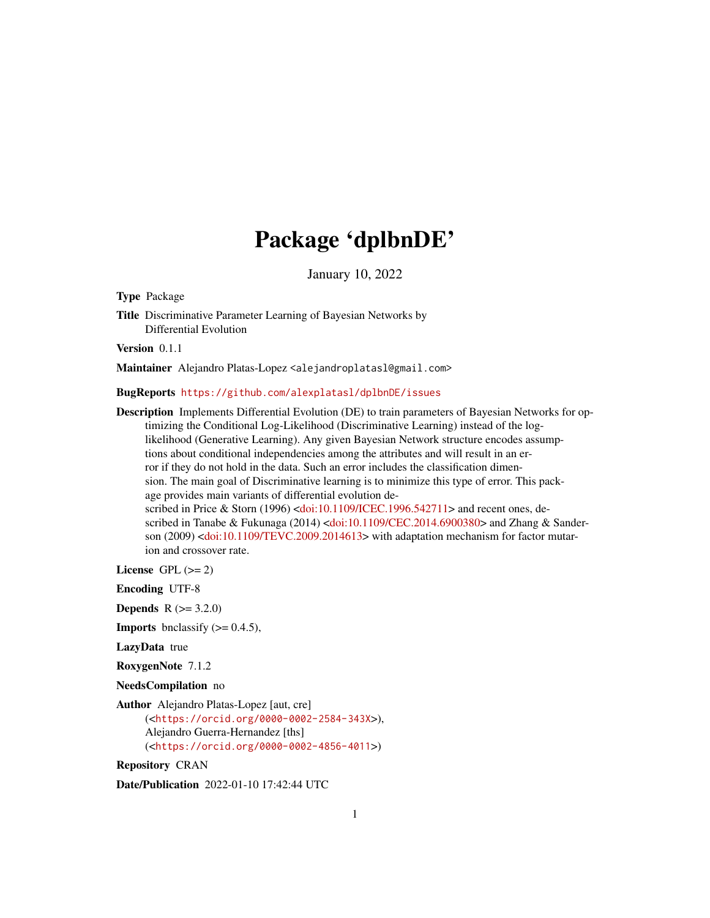## Package 'dplbnDE'

January 10, 2022

<span id="page-0-0"></span>Type Package

Title Discriminative Parameter Learning of Bayesian Networks by Differential Evolution

Version 0.1.1

Maintainer Alejandro Platas-Lopez <alejandroplatasl@gmail.com>

BugReports <https://github.com/alexplatasl/dplbnDE/issues>

Description Implements Differential Evolution (DE) to train parameters of Bayesian Networks for optimizing the Conditional Log-Likelihood (Discriminative Learning) instead of the loglikelihood (Generative Learning). Any given Bayesian Network structure encodes assumptions about conditional independencies among the attributes and will result in an error if they do not hold in the data. Such an error includes the classification dimension. The main goal of Discriminative learning is to minimize this type of error. This package provides main variants of differential evolution de-scribed in Price & Storn (1996) [<doi:10.1109/ICEC.1996.542711>](https://doi.org/10.1109/ICEC.1996.542711) and recent ones, de-scribed in Tanabe & Fukunaga (2014) [<doi:10.1109/CEC.2014.6900380>](https://doi.org/10.1109/CEC.2014.6900380) and Zhang & Sanderson (2009) [<doi:10.1109/TEVC.2009.2014613>](https://doi.org/10.1109/TEVC.2009.2014613) with adaptation mechanism for factor mutarion and crossover rate.

License GPL  $(>= 2)$ 

Encoding UTF-8

**Depends**  $R (= 3.2.0)$ 

**Imports** bnclassify  $(>= 0.4.5)$ ,

LazyData true

RoxygenNote 7.1.2

NeedsCompilation no

Author Alejandro Platas-Lopez [aut, cre] (<<https://orcid.org/0000-0002-2584-343X>>), Alejandro Guerra-Hernandez [ths] (<<https://orcid.org/0000-0002-4856-4011>>)

Repository CRAN

Date/Publication 2022-01-10 17:42:44 UTC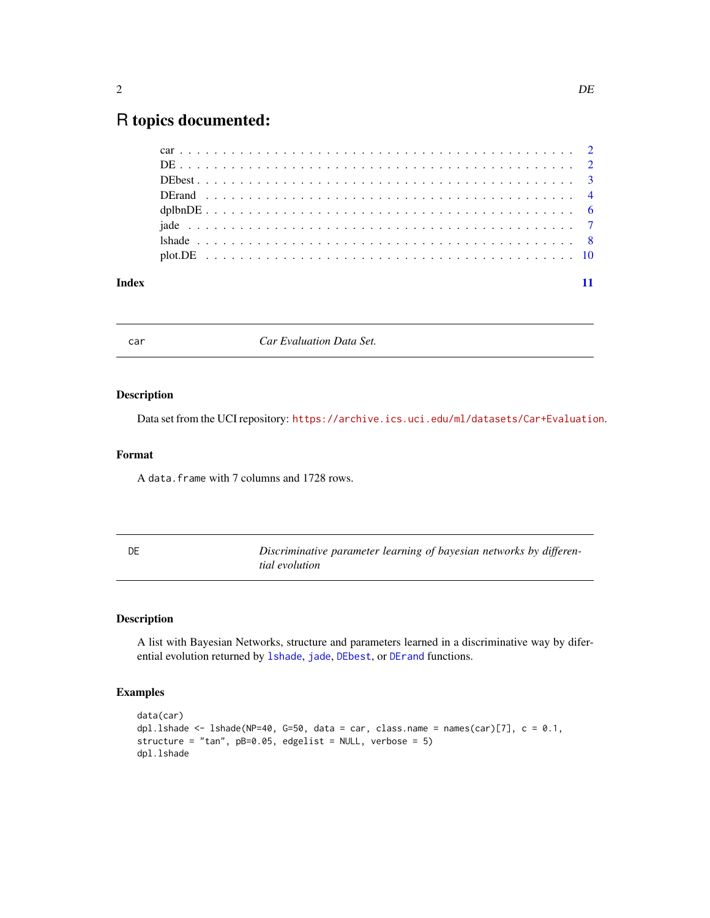### <span id="page-1-0"></span>R topics documented:

car *Car Evaluation Data Set.*

### Description

Data set from the UCI repository: <https://archive.ics.uci.edu/ml/datasets/Car+Evaluation>.

### Format

A data.frame with 7 columns and 1728 rows.

<span id="page-1-1"></span>

| DE | Discriminative parameter learning of bayesian networks by differen- |
|----|---------------------------------------------------------------------|
|    | tial evolution                                                      |

### Description

A list with Bayesian Networks, structure and parameters learned in a discriminative way by diferential evolution returned by [lshade](#page-7-1), [jade](#page-6-1), [DEbest](#page-2-1), or [DErand](#page-3-1) functions.

### Examples

```
data(car)
dpl.lshade <- lshade(NP=40, G=50, data = car, class.name = names(car)[7], c = 0.1,
structure = "tan", pB=0.05, edgelist = NULL, verbose = 5)
dpl.lshade
```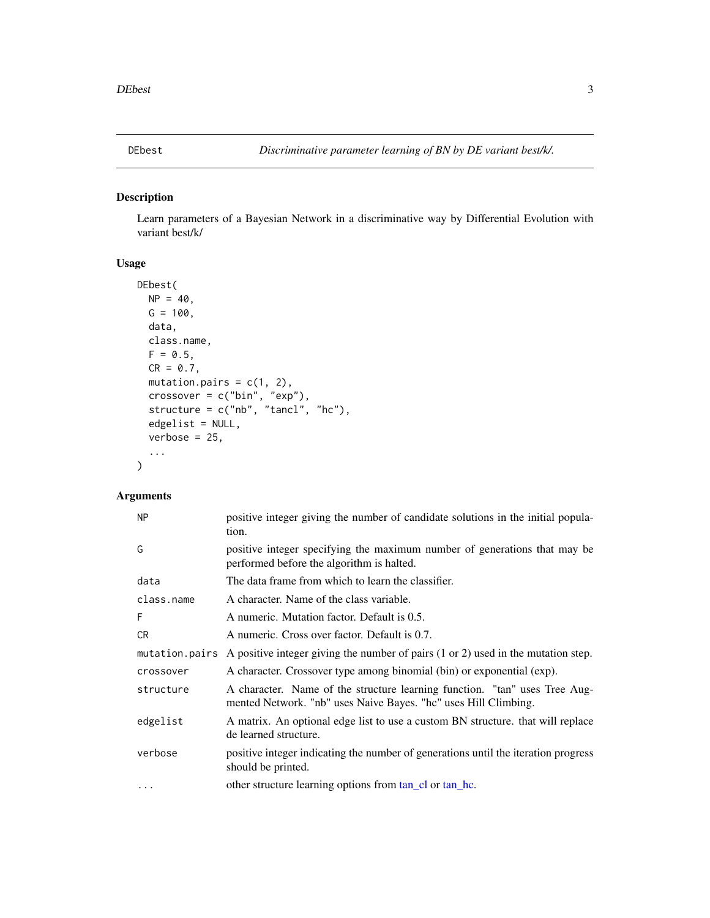<span id="page-2-1"></span><span id="page-2-0"></span>

### Description

Learn parameters of a Bayesian Network in a discriminative way by Differential Evolution with variant best/k/

### Usage

```
DEbest(
 NP = 40,G = 100,data,
 class.name,
  F = 0.5,
 CR = 0.7,
 mutation.pairs = c(1, 2),
  crossover = c("bin", "exp"),
  structure = c("nb", "tancl", "hc"),
  edgelist = NULL,
  verbose = 25,
  ...
)
```
### Arguments

| <b>NP</b>  | positive integer giving the number of candidate solutions in the initial popula-<br>tion.                                                     |
|------------|-----------------------------------------------------------------------------------------------------------------------------------------------|
| G          | positive integer specifying the maximum number of generations that may be<br>performed before the algorithm is halted.                        |
| data       | The data frame from which to learn the classifier.                                                                                            |
| class.name | A character. Name of the class variable.                                                                                                      |
| F          | A numeric. Mutation factor. Default is 0.5.                                                                                                   |
| CR         | A numeric. Cross over factor. Default is 0.7.                                                                                                 |
|            | mutation. pairs A positive integer giving the number of pairs $(1 or 2)$ used in the mutation step.                                           |
| crossover  | A character. Crossover type among binomial (bin) or exponential (exp).                                                                        |
| structure  | A character. Name of the structure learning function. "tan" uses Tree Aug-<br>mented Network. "nb" uses Naive Bayes. "hc" uses Hill Climbing. |
| edgelist   | A matrix. An optional edge list to use a custom BN structure, that will replace<br>de learned structure.                                      |
| verbose    | positive integer indicating the number of generations until the iteration progress<br>should be printed.                                      |
| $\cdots$   | other structure learning options from tan_cl or tan_hc.                                                                                       |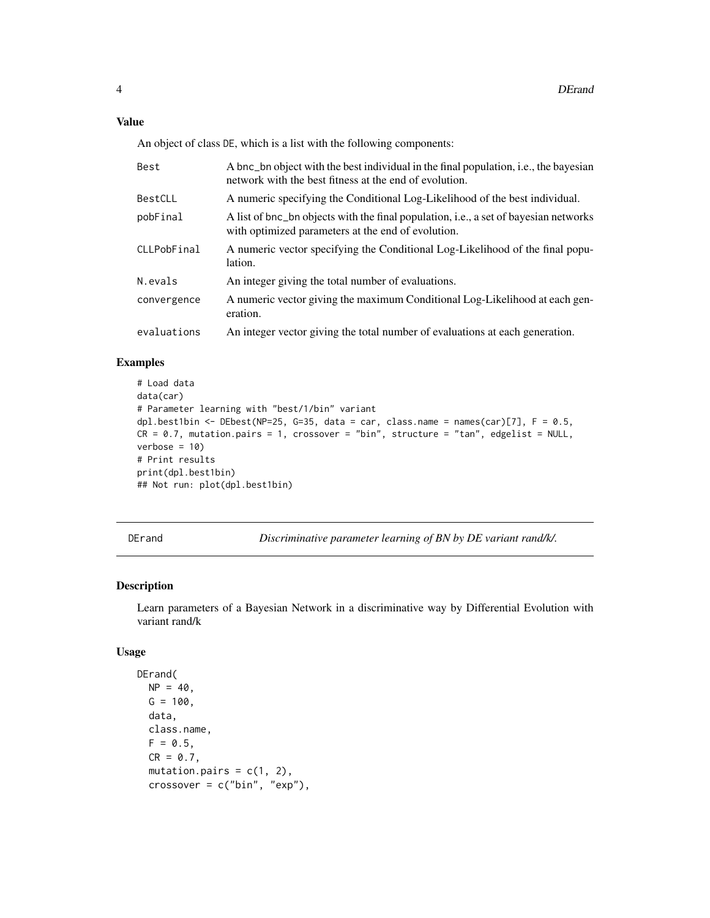### <span id="page-3-0"></span>Value

An object of class DE, which is a list with the following components:

| Best        | A bnc_bn object with the best individual in the final population, i.e., the bayesian<br>network with the best fitness at the end of evolution. |
|-------------|------------------------------------------------------------------------------------------------------------------------------------------------|
| BestCLL     | A numeric specifying the Conditional Log-Likelihood of the best individual.                                                                    |
| pobFinal    | A list of bnc_bn objects with the final population, i.e., a set of bayesian networks<br>with optimized parameters at the end of evolution.     |
| CLLPobFinal | A numeric vector specifying the Conditional Log-Likelihood of the final popu-<br>lation.                                                       |
| N.evals     | An integer giving the total number of evaluations.                                                                                             |
| convergence | A numeric vector giving the maximum Conditional Log-Likelihood at each gen-<br>eration.                                                        |
| evaluations | An integer vector giving the total number of evaluations at each generation.                                                                   |

### Examples

```
# Load data
data(car)
# Parameter learning with "best/1/bin" variant
dpl.best1bin \leq DEbest(NP=25, G=35, data = car, class.name = names(car)[7], F = 0.5,
CR = 0.7, mutation.pairs = 1, crossover = "bin", structure = "tan", edgelist = NULL,
verbose = 10# Print results
print(dpl.best1bin)
## Not run: plot(dpl.best1bin)
```
DErand *Discriminative parameter learning of BN by DE variant rand/k/.*

### Description

Learn parameters of a Bayesian Network in a discriminative way by Differential Evolution with variant rand/k

### Usage

```
DErand(
 NP = 40,
 G = 100,data,
  class.name,
  F = 0.5.
  CR = 0.7,
  mutation.pairs = c(1, 2),
  crossover = c("bin", "exp"),
```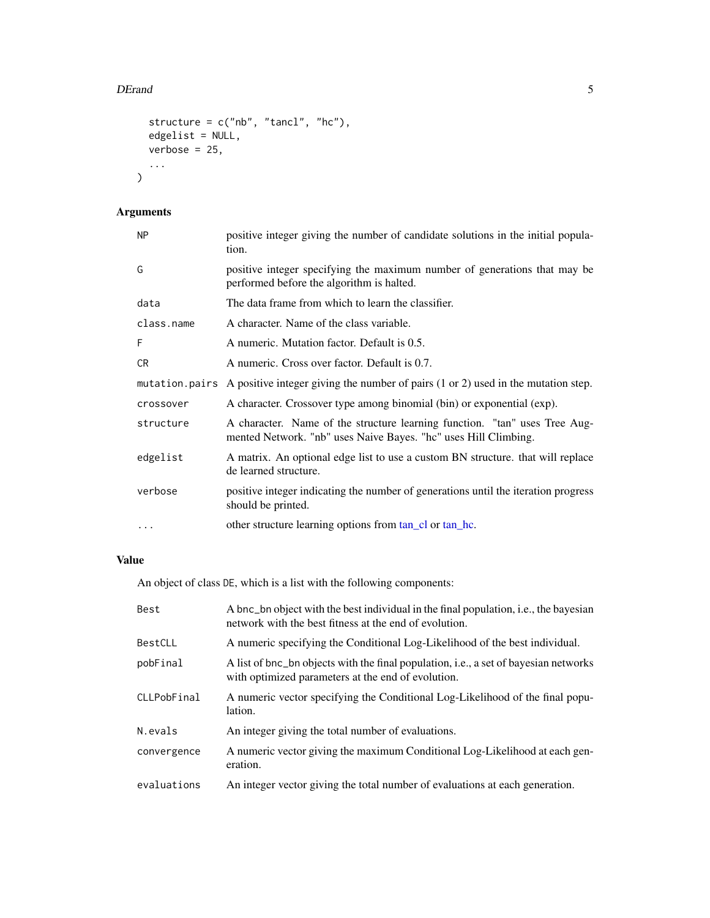### <span id="page-4-0"></span>DErand 5

```
structure = c("nb", "tancl", "hc"),
 edgelist = NULL,
 verbose = 25,
  ...
)
```
### Arguments

| NΡ         | positive integer giving the number of candidate solutions in the initial popula-<br>tion.                                                     |
|------------|-----------------------------------------------------------------------------------------------------------------------------------------------|
| G          | positive integer specifying the maximum number of generations that may be<br>performed before the algorithm is halted.                        |
| data       | The data frame from which to learn the classifier.                                                                                            |
| class.name | A character. Name of the class variable.                                                                                                      |
| F          | A numeric. Mutation factor. Default is 0.5.                                                                                                   |
| CR         | A numeric. Cross over factor. Default is 0.7.                                                                                                 |
|            | mutation. pairs A positive integer giving the number of pairs (1 or 2) used in the mutation step.                                             |
| crossover  | A character. Crossover type among binomial (bin) or exponential (exp).                                                                        |
| structure  | A character. Name of the structure learning function. "tan" uses Tree Aug-<br>mented Network. "nb" uses Naive Bayes. "hc" uses Hill Climbing. |
| edgelist   | A matrix. An optional edge list to use a custom BN structure. that will replace<br>de learned structure.                                      |
| verbose    | positive integer indicating the number of generations until the iteration progress<br>should be printed.                                      |
| .          | other structure learning options from tan_cl or tan_hc.                                                                                       |

### Value

An object of class DE, which is a list with the following components:

| Best        | A bnc_bn object with the best individual in the final population, i.e., the bayesian<br>network with the best fitness at the end of evolution. |
|-------------|------------------------------------------------------------------------------------------------------------------------------------------------|
| BestCLL     | A numeric specifying the Conditional Log-Likelihood of the best individual.                                                                    |
| pobFinal    | A list of bnc_bn objects with the final population, i.e., a set of bayesian networks<br>with optimized parameters at the end of evolution.     |
| CLLPobFinal | A numeric vector specifying the Conditional Log-Likelihood of the final popu-<br>lation.                                                       |
| N.evals     | An integer giving the total number of evaluations.                                                                                             |
| convergence | A numeric vector giving the maximum Conditional Log-Likelihood at each gen-<br>eration.                                                        |
| evaluations | An integer vector giving the total number of evaluations at each generation.                                                                   |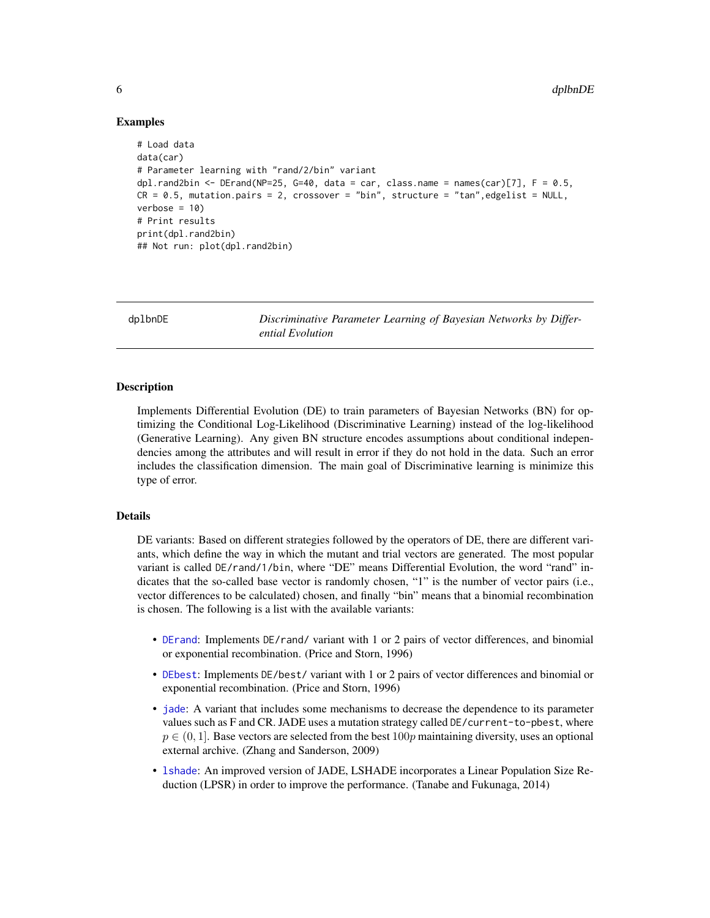### Examples

```
# Load data
data(car)
# Parameter learning with "rand/2/bin" variant
dpl.rand2bin <- DErand(NP=25, G=40, data = car, class.name = names(car)[7], F = 0.5,
CR = 0.5, mutation.pairs = 2, crossover = "bin", structure = "tan", edgelist = NULL,
verbose = 10# Print results
print(dpl.rand2bin)
## Not run: plot(dpl.rand2bin)
```
dplbnDE *Discriminative Parameter Learning of Bayesian Networks by Differential Evolution*

### Description

Implements Differential Evolution (DE) to train parameters of Bayesian Networks (BN) for optimizing the Conditional Log-Likelihood (Discriminative Learning) instead of the log-likelihood (Generative Learning). Any given BN structure encodes assumptions about conditional independencies among the attributes and will result in error if they do not hold in the data. Such an error includes the classification dimension. The main goal of Discriminative learning is minimize this type of error.

### Details

DE variants: Based on different strategies followed by the operators of DE, there are different variants, which define the way in which the mutant and trial vectors are generated. The most popular variant is called DE/rand/1/bin, where "DE" means Differential Evolution, the word "rand" indicates that the so-called base vector is randomly chosen, "1" is the number of vector pairs (i.e., vector differences to be calculated) chosen, and finally "bin" means that a binomial recombination is chosen. The following is a list with the available variants:

- [DErand](#page-3-1): Implements DE/rand/ variant with 1 or 2 pairs of vector differences, and binomial or exponential recombination. (Price and Storn, 1996)
- [DEbest](#page-2-1): Implements DE/best/ variant with 1 or 2 pairs of vector differences and binomial or exponential recombination. (Price and Storn, 1996)
- [jade](#page-6-1): A variant that includes some mechanisms to decrease the dependence to its parameter values such as F and CR. JADE uses a mutation strategy called DE/current-to-pbest, where  $p \in (0, 1]$ . Base vectors are selected from the best 100p maintaining diversity, uses an optional external archive. (Zhang and Sanderson, 2009)
- [lshade](#page-7-1): An improved version of JADE, LSHADE incorporates a Linear Population Size Reduction (LPSR) in order to improve the performance. (Tanabe and Fukunaga, 2014)

<span id="page-5-0"></span>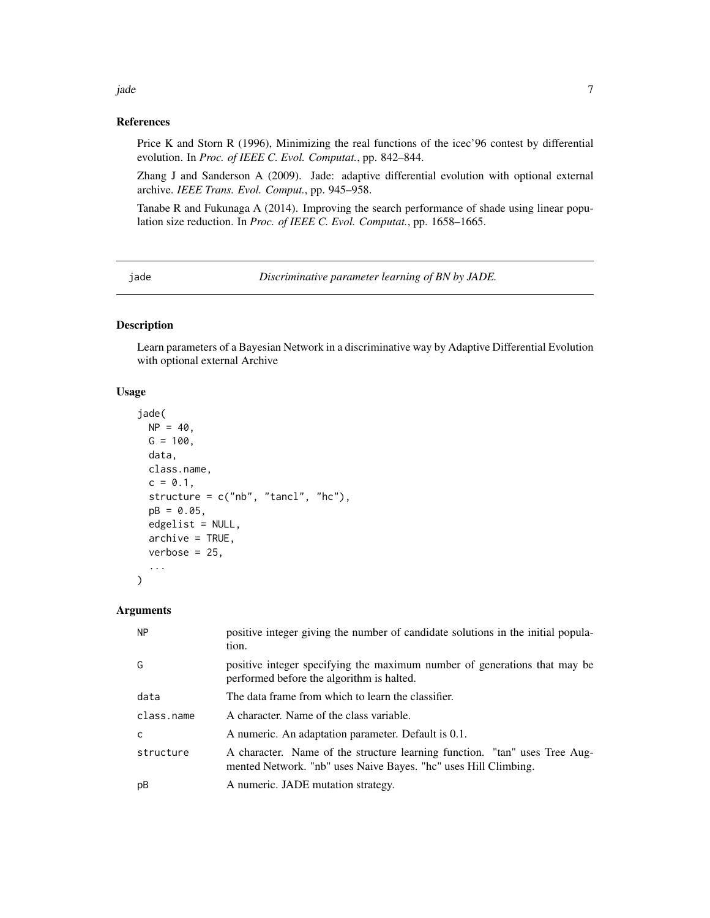### <span id="page-6-0"></span>References

Price K and Storn R (1996), Minimizing the real functions of the icec'96 contest by differential evolution. In *Proc. of IEEE C. Evol. Computat.*, pp. 842–844.

Zhang J and Sanderson A (2009). Jade: adaptive differential evolution with optional external archive. *IEEE Trans. Evol. Comput.*, pp. 945–958.

Tanabe R and Fukunaga A (2014). Improving the search performance of shade using linear population size reduction. In *Proc. of IEEE C. Evol. Computat.*, pp. 1658–1665.

<span id="page-6-1"></span>jade *Discriminative parameter learning of BN by JADE.*

### Description

Learn parameters of a Bayesian Network in a discriminative way by Adaptive Differential Evolution with optional external Archive

#### Usage

```
jade(
 NP = 40,G = 100,data,
 class.name,
  c = 0.1,
  structure = c("nb", "tancl", "hc"),
 pB = 0.05,
 edgelist = NULL,
  archive = TRUE,
  verbose = 25,
  ...
\mathcal{L}
```
### Arguments

| <b>NP</b>  | positive integer giving the number of candidate solutions in the initial popula-<br>tion.                                                     |
|------------|-----------------------------------------------------------------------------------------------------------------------------------------------|
| G          | positive integer specifying the maximum number of generations that may be<br>performed before the algorithm is halted.                        |
| data       | The data frame from which to learn the classifier.                                                                                            |
| class.name | A character. Name of the class variable.                                                                                                      |
| C          | A numeric. An adaptation parameter. Default is 0.1.                                                                                           |
| structure  | A character. Name of the structure learning function. "tan" uses Tree Aug-<br>mented Network. "nb" uses Naive Bayes. "hc" uses Hill Climbing. |
| pB         | A numeric. JADE mutation strategy.                                                                                                            |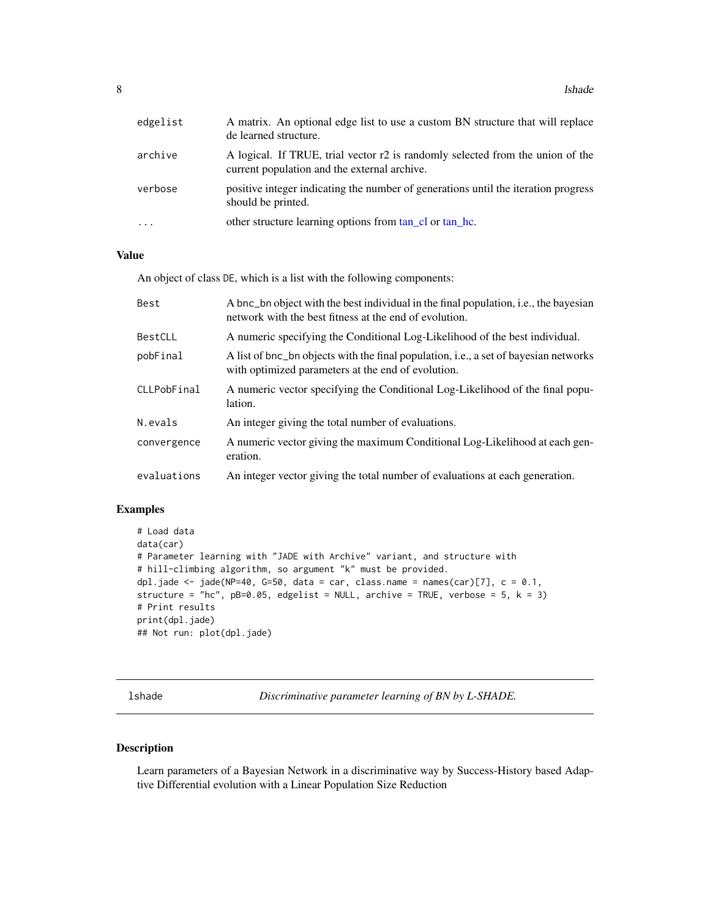<span id="page-7-0"></span>8 lshade and the state of the state of the state of the state of the state of the state of the state of the state of the state of the state of the state of the state of the state of the state of the state of the state of t

| edgelist  | A matrix. An optional edge list to use a custom BN structure that will replace<br>de learned structure.                        |
|-----------|--------------------------------------------------------------------------------------------------------------------------------|
| archive   | A logical. If TRUE, trial vector r2 is randomly selected from the union of the<br>current population and the external archive. |
| verbose   | positive integer indicating the number of generations until the iteration progress<br>should be printed.                       |
| $\ddotsc$ | other structure learning options from tan_cl or tan_hc.                                                                        |

### Value

An object of class DE, which is a list with the following components:

| Best        | A bnc_bn object with the best individual in the final population, i.e., the bayesian<br>network with the best fitness at the end of evolution. |
|-------------|------------------------------------------------------------------------------------------------------------------------------------------------|
| BestCLL     | A numeric specifying the Conditional Log-Likelihood of the best individual.                                                                    |
| pobFinal    | A list of bnc_bn objects with the final population, i.e., a set of bayesian networks<br>with optimized parameters at the end of evolution.     |
| CLLPobFinal | A numeric vector specifying the Conditional Log-Likelihood of the final popu-<br>lation.                                                       |
| N.evals     | An integer giving the total number of evaluations.                                                                                             |
| convergence | A numeric vector giving the maximum Conditional Log-Likelihood at each gen-<br>eration.                                                        |
| evaluations | An integer vector giving the total number of evaluations at each generation.                                                                   |

### Examples

```
# Load data
data(car)
# Parameter learning with "JADE with Archive" variant, and structure with
# hill-climbing algorithm, so argument "k" must be provided.
dpl.jade <- jade(NP=40, G=50, data = car, class.name = names(car)[7], c = 0.1,
structure = "hc", pB=0.05, edgelist = NULL, archive = TRUE, verbose = 5, k = 3)
# Print results
print(dpl.jade)
## Not run: plot(dpl.jade)
```
<span id="page-7-1"></span>lshade *Discriminative parameter learning of BN by L-SHADE.*

### Description

Learn parameters of a Bayesian Network in a discriminative way by Success-History based Adaptive Differential evolution with a Linear Population Size Reduction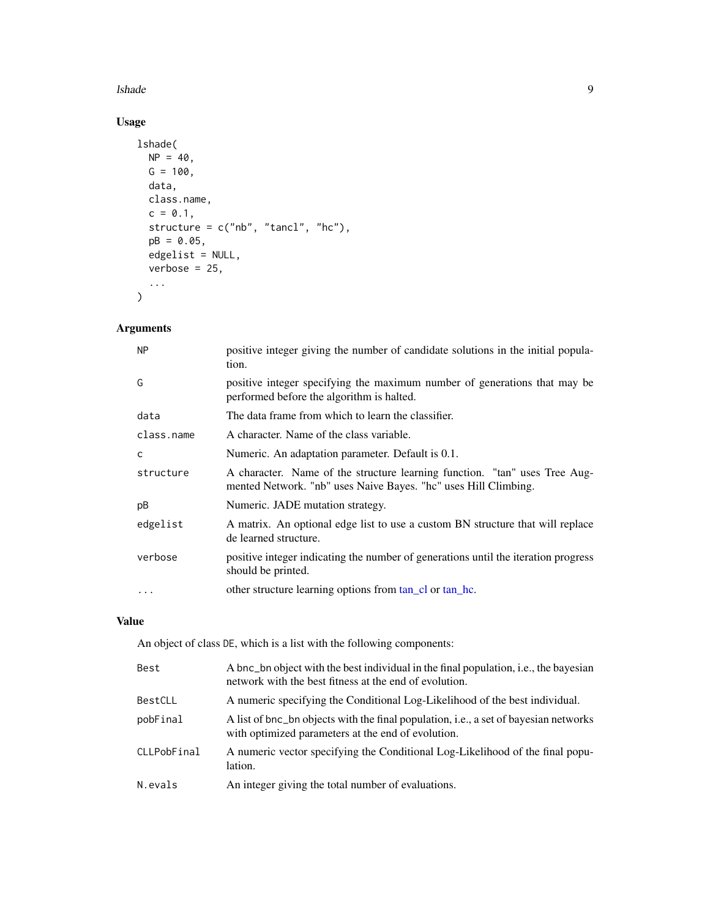### <span id="page-8-0"></span>lshade 9 and 2012 and 2013 and 2013 and 2013 and 2013 and 2013 and 2013 and 2013 and 2013 and 2013 and 2013 and 2013 and 2013 and 2013 and 2013 and 2013 and 2013 and 2013 and 2013 and 2013 and 2013 and 2013 and 2013 and 20

### Usage

```
lshade(
  NP = 40,G = 100,data,
  class.name,
  c = 0.1,
  structure = c("nb", "tancl", "hc"),
  pB = 0.05,
  edgelist = NULL,
  verbose = 25,
  ...
\overline{\phantom{a}}
```
### Arguments

| <b>NP</b>  | positive integer giving the number of candidate solutions in the initial popula-<br>tion.                                                     |
|------------|-----------------------------------------------------------------------------------------------------------------------------------------------|
| G          | positive integer specifying the maximum number of generations that may be<br>performed before the algorithm is halted.                        |
| data       | The data frame from which to learn the classifier.                                                                                            |
| class.name | A character. Name of the class variable.                                                                                                      |
| C          | Numeric. An adaptation parameter. Default is 0.1.                                                                                             |
| structure  | A character. Name of the structure learning function. "tan" uses Tree Aug-<br>mented Network. "nb" uses Naive Bayes. "hc" uses Hill Climbing. |
| рB         | Numeric. JADE mutation strategy.                                                                                                              |
| edgelist   | A matrix. An optional edge list to use a custom BN structure that will replace<br>de learned structure.                                       |
| verbose    | positive integer indicating the number of generations until the iteration progress<br>should be printed.                                      |
| $\ddotsc$  | other structure learning options from tan_cl or tan_hc.                                                                                       |

### Value

An object of class DE, which is a list with the following components:

| Best        | A bnc_bn object with the best individual in the final population, i.e., the bayesian<br>network with the best fitness at the end of evolution. |
|-------------|------------------------------------------------------------------------------------------------------------------------------------------------|
| BestCLL     | A numeric specifying the Conditional Log-Likelihood of the best individual.                                                                    |
| pobFinal    | A list of bnc_bn objects with the final population, i.e., a set of bayesian networks<br>with optimized parameters at the end of evolution.     |
| CLLPobFinal | A numeric vector specifying the Conditional Log-Likelihood of the final popu-<br>lation.                                                       |
| N.evals     | An integer giving the total number of evaluations.                                                                                             |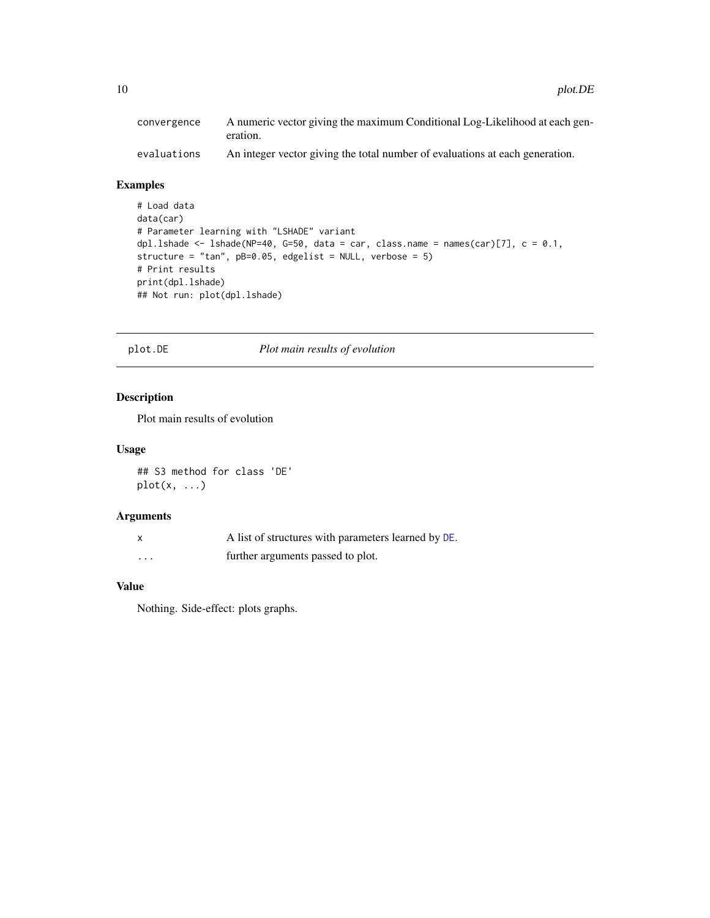### <span id="page-9-0"></span>Examples

```
# Load data
data(car)
# Parameter learning with "LSHADE" variant
dpl.lshade <- lshade(NP=40, G=50, data = car, class.name = names(car)[7], c = 0.1,
structure = "tan", pB=0.05, edgelist = NULL, verbose = 5)
# Print results
print(dpl.lshade)
## Not run: plot(dpl.lshade)
```
### plot.DE *Plot main results of evolution*

### Description

Plot main results of evolution

#### Usage

## S3 method for class 'DE'  $plot(x, \ldots)$ 

### Arguments

|   | A list of structures with parameters learned by DE. |
|---|-----------------------------------------------------|
| . | further arguments passed to plot.                   |

### Value

Nothing. Side-effect: plots graphs.